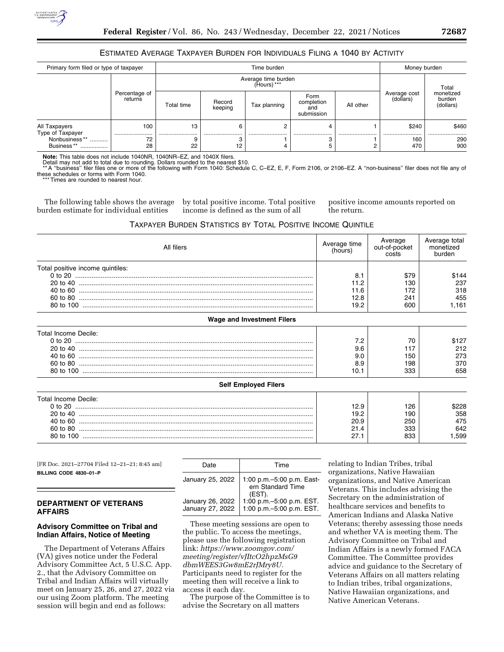# ESTIMATED AVERAGE TAXPAYER BURDEN FOR INDIVIDUALS FILING A 1040 BY ACTIVITY

| Primary form filed or type of taxpayer                                   |                          | Time burden                        |                   |              |                                         |           | Money burden              |                                  |
|--------------------------------------------------------------------------|--------------------------|------------------------------------|-------------------|--------------|-----------------------------------------|-----------|---------------------------|----------------------------------|
|                                                                          | Percentage of<br>returns | Average time burden<br>(Hours) *** |                   |              |                                         |           |                           | Total                            |
|                                                                          |                          | Total time                         | Record<br>keeping | Tax planning | Form<br>completion<br>and<br>submission | All other | Average cost<br>(dollars) | monetized<br>burden<br>(dollars) |
| All Taxpayers<br>Type of Taxpayer<br>Nonbusiness**<br><br>Business**<br> | 100<br><br>72<br>28      | 13<br><br>22                       | <br>12            |              |                                         | <br>2     | \$240<br><br>160<br>470   | \$460<br><br>290<br>900          |

**Note:** This table does not include 1040NR, 1040NR–EZ, and 1040X filers.

Detail may not add to total due to rounding. Dollars rounded to the nearest \$10.<br>\*\*A ''business'' filer files one or more of the following with Form 1040: Schedule C, C–EZ, E, F, Form 2106, or 2106–EZ. A ''non-business'' f these schedules or forms with Form 1040.

\*\*\* Times are rounded to nearest hour.

The following table shows the average burden estimate for individual entities

by total positive income. Total positive income is defined as the sum of all

positive income amounts reported on the return.

## TAXPAYER BURDEN STATISTICS BY TOTAL POSITIVE INCOME QUINTILE

| All filers                        | Average time<br>(hours) | Average<br>out-of-pocket<br>costs | Average total<br>monetized<br>burden |
|-----------------------------------|-------------------------|-----------------------------------|--------------------------------------|
| Total positive income quintiles:  |                         |                                   |                                      |
|                                   | 8.1                     | \$79                              | \$144                                |
|                                   | 11.2                    | 130                               | 237                                  |
|                                   | 11.6                    | 172                               | 318                                  |
|                                   | 12.8                    | 241                               | 455                                  |
|                                   | 19.2                    | 600                               | 1,161                                |
| <b>Wage and Investment Filers</b> |                         |                                   |                                      |
| Total Income Decile:              |                         |                                   |                                      |
|                                   | 7.2                     | 70                                | \$127                                |
|                                   | 9.6                     | 117                               | 212                                  |
|                                   | 9.0                     | 150                               | 273                                  |
|                                   | 8.9                     | 198                               | 370                                  |
|                                   | 10.1                    | 333                               | 658                                  |
| <b>Self Employed Filers</b>       |                         |                                   |                                      |
| Total Income Decile:              |                         |                                   |                                      |
|                                   | 12.9                    | 126                               | \$228                                |
|                                   | 19.2                    | 190                               | 358                                  |
|                                   | 20.9                    | 250                               | 475                                  |
|                                   | 21.4                    | 333                               | 642                                  |
|                                   | 27.1                    | 833                               | 1,599                                |
|                                   |                         |                                   |                                      |

[FR Doc. 2021–27704 Filed 12–21–21; 8:45 am] **BILLING CODE 4830–01–P** 

### **DEPARTMENT OF VETERANS AFFAIRS**

# **Advisory Committee on Tribal and Indian Affairs, Notice of Meeting**

The Department of Veterans Affairs (VA) gives notice under the Federal Advisory Committee Act, 5 U.S.C. App. 2., that the Advisory Committee on Tribal and Indian Affairs will virtually meet on January 25, 26, and 27, 2022 via our using Zoom platform. The meeting session will begin and end as follows:

| Time                                                       |  |  |
|------------------------------------------------------------|--|--|
| 1:00 p.m. - 5:00 p.m. East-<br>ern Standard Time<br>(EST). |  |  |
| 1:00 p.m. - 5:00 p.m. EST.<br>1:00 p.m. - 5:00 p.m. EST.   |  |  |
|                                                            |  |  |

These meeting sessions are open to the public. To access the meetings, please use the following registration link: *[https://www.zoomgov.com/](https://www.zoomgov.com/meeting/register/vJItcO2hpzMsG9dbmWEES3Gw8mE2rJMry8U) [meeting/register/vJItcO2hpzMsG9](https://www.zoomgov.com/meeting/register/vJItcO2hpzMsG9dbmWEES3Gw8mE2rJMry8U) [dbmWEES3Gw8mE2rJMry8U.](https://www.zoomgov.com/meeting/register/vJItcO2hpzMsG9dbmWEES3Gw8mE2rJMry8U)*  Participants need to register for the meeting then will receive a link to access it each day.

The purpose of the Committee is to advise the Secretary on all matters

relating to Indian Tribes, tribal organizations, Native Hawaiian organizations, and Native American Veterans. This includes advising the Secretary on the administration of healthcare services and benefits to American Indians and Alaska Native Veterans; thereby assessing those needs and whether VA is meeting them. The Advisory Committee on Tribal and Indian Affairs is a newly formed FACA Committee. The Committee provides advice and guidance to the Secretary of Veterans Affairs on all matters relating to Indian tribes, tribal organizations, Native Hawaiian organizations, and Native American Veterans.